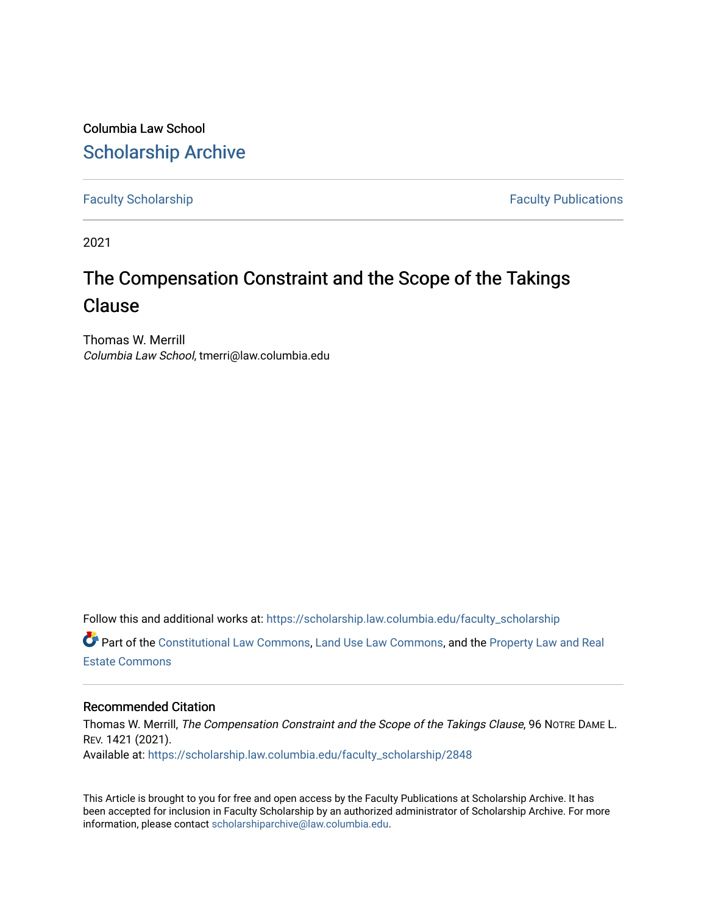Columbia Law School [Scholarship Archive](https://scholarship.law.columbia.edu/) 

[Faculty Scholarship](https://scholarship.law.columbia.edu/faculty_scholarship) **Faculty Scholarship Faculty Publications** 

2021

# The Compensation Constraint and the Scope of the Takings Clause

Thomas W. Merrill Columbia Law School, tmerri@law.columbia.edu

Follow this and additional works at: [https://scholarship.law.columbia.edu/faculty\\_scholarship](https://scholarship.law.columbia.edu/faculty_scholarship?utm_source=scholarship.law.columbia.edu%2Ffaculty_scholarship%2F2848&utm_medium=PDF&utm_campaign=PDFCoverPages) Part of the [Constitutional Law Commons,](http://network.bepress.com/hgg/discipline/589?utm_source=scholarship.law.columbia.edu%2Ffaculty_scholarship%2F2848&utm_medium=PDF&utm_campaign=PDFCoverPages) [Land Use Law Commons](http://network.bepress.com/hgg/discipline/852?utm_source=scholarship.law.columbia.edu%2Ffaculty_scholarship%2F2848&utm_medium=PDF&utm_campaign=PDFCoverPages), and the [Property Law and Real](http://network.bepress.com/hgg/discipline/897?utm_source=scholarship.law.columbia.edu%2Ffaculty_scholarship%2F2848&utm_medium=PDF&utm_campaign=PDFCoverPages)  [Estate Commons](http://network.bepress.com/hgg/discipline/897?utm_source=scholarship.law.columbia.edu%2Ffaculty_scholarship%2F2848&utm_medium=PDF&utm_campaign=PDFCoverPages) 

## Recommended Citation

Thomas W. Merrill, The Compensation Constraint and the Scope of the Takings Clause, 96 NOTRE DAME L. REV. 1421 (2021). Available at: [https://scholarship.law.columbia.edu/faculty\\_scholarship/2848](https://scholarship.law.columbia.edu/faculty_scholarship/2848?utm_source=scholarship.law.columbia.edu%2Ffaculty_scholarship%2F2848&utm_medium=PDF&utm_campaign=PDFCoverPages)

This Article is brought to you for free and open access by the Faculty Publications at Scholarship Archive. It has been accepted for inclusion in Faculty Scholarship by an authorized administrator of Scholarship Archive. For more information, please contact [scholarshiparchive@law.columbia.edu.](mailto:scholarshiparchive@law.columbia.edu)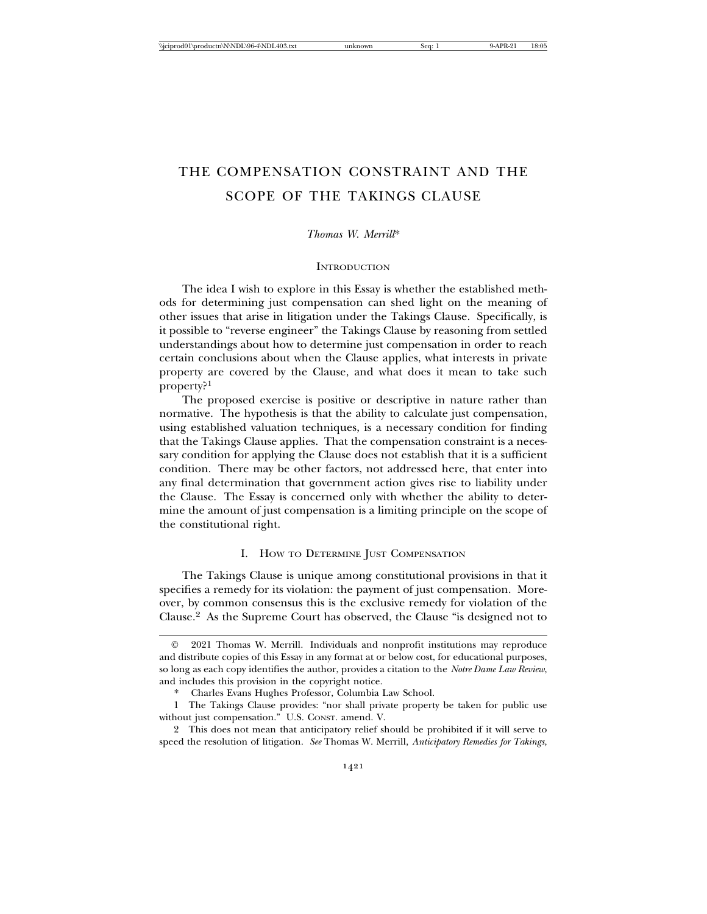# THE COMPENSATION CONSTRAINT AND THE SCOPE OF THE TAKINGS CLAUSE

#### *Thomas W. Merrill*\*

#### **INTRODUCTION**

The idea I wish to explore in this Essay is whether the established methods for determining just compensation can shed light on the meaning of other issues that arise in litigation under the Takings Clause. Specifically, is it possible to "reverse engineer" the Takings Clause by reasoning from settled understandings about how to determine just compensation in order to reach certain conclusions about when the Clause applies, what interests in private property are covered by the Clause, and what does it mean to take such property?<sup>1</sup>

The proposed exercise is positive or descriptive in nature rather than normative. The hypothesis is that the ability to calculate just compensation, using established valuation techniques, is a necessary condition for finding that the Takings Clause applies. That the compensation constraint is a necessary condition for applying the Clause does not establish that it is a sufficient condition. There may be other factors, not addressed here, that enter into any final determination that government action gives rise to liability under the Clause. The Essay is concerned only with whether the ability to determine the amount of just compensation is a limiting principle on the scope of the constitutional right.

#### I. HOW TO DETERMINE JUST COMPENSATION

The Takings Clause is unique among constitutional provisions in that it specifies a remedy for its violation: the payment of just compensation. Moreover, by common consensus this is the exclusive remedy for violation of the Clause.2 As the Supreme Court has observed, the Clause "is designed not to

<sup>©</sup> 2021 Thomas W. Merrill. Individuals and nonprofit institutions may reproduce and distribute copies of this Essay in any format at or below cost, for educational purposes, so long as each copy identifies the author, provides a citation to the *Notre Dame Law Review*, and includes this provision in the copyright notice.

<sup>\*</sup> Charles Evans Hughes Professor, Columbia Law School.

<sup>1</sup> The Takings Clause provides: "nor shall private property be taken for public use without just compensation." U.S. CONST. amend. V.

<sup>2</sup> This does not mean that anticipatory relief should be prohibited if it will serve to speed the resolution of litigation. *See* Thomas W. Merrill, *Anticipatory Remedies for Takings*,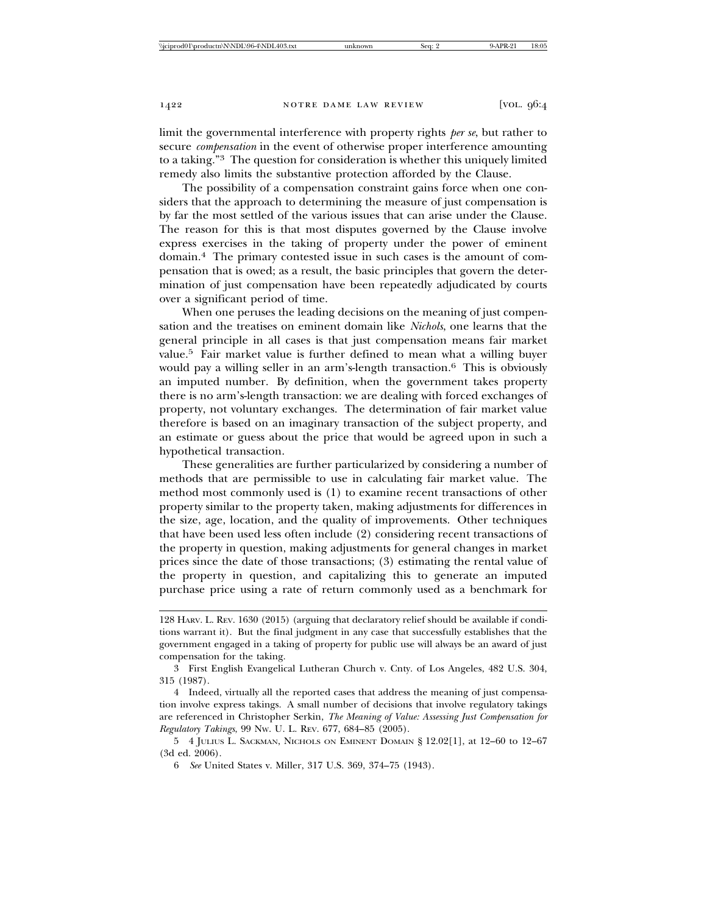limit the governmental interference with property rights *per se*, but rather to secure *compensation* in the event of otherwise proper interference amounting to a taking."3 The question for consideration is whether this uniquely limited remedy also limits the substantive protection afforded by the Clause.

The possibility of a compensation constraint gains force when one considers that the approach to determining the measure of just compensation is by far the most settled of the various issues that can arise under the Clause. The reason for this is that most disputes governed by the Clause involve express exercises in the taking of property under the power of eminent domain.4 The primary contested issue in such cases is the amount of compensation that is owed; as a result, the basic principles that govern the determination of just compensation have been repeatedly adjudicated by courts over a significant period of time.

When one peruses the leading decisions on the meaning of just compensation and the treatises on eminent domain like *Nichols*, one learns that the general principle in all cases is that just compensation means fair market value.5 Fair market value is further defined to mean what a willing buyer would pay a willing seller in an arm's-length transaction.<sup>6</sup> This is obviously an imputed number. By definition, when the government takes property there is no arm's-length transaction: we are dealing with forced exchanges of property, not voluntary exchanges. The determination of fair market value therefore is based on an imaginary transaction of the subject property, and an estimate or guess about the price that would be agreed upon in such a hypothetical transaction.

These generalities are further particularized by considering a number of methods that are permissible to use in calculating fair market value. The method most commonly used is (1) to examine recent transactions of other property similar to the property taken, making adjustments for differences in the size, age, location, and the quality of improvements. Other techniques that have been used less often include (2) considering recent transactions of the property in question, making adjustments for general changes in market prices since the date of those transactions; (3) estimating the rental value of the property in question, and capitalizing this to generate an imputed purchase price using a rate of return commonly used as a benchmark for

<sup>128</sup> HARV. L. REV. 1630 (2015) (arguing that declaratory relief should be available if conditions warrant it). But the final judgment in any case that successfully establishes that the government engaged in a taking of property for public use will always be an award of just compensation for the taking.

<sup>3</sup> First English Evangelical Lutheran Church v. Cnty. of Los Angeles, 482 U.S. 304, 315 (1987).

<sup>4</sup> Indeed, virtually all the reported cases that address the meaning of just compensation involve express takings. A small number of decisions that involve regulatory takings are referenced in Christopher Serkin, *The Meaning of Value: Assessing Just Compensation for Regulatory Takings*, 99 NW. U. L. REV. 677, 684–85 (2005).

<sup>5 4</sup> JULIUS L. SACKMAN, NICHOLS ON EMINENT DOMAIN § 12.02[1], at 12–60 to 12–67 (3d ed. 2006).

<sup>6</sup> *See* United States v. Miller, 317 U.S. 369, 374–75 (1943).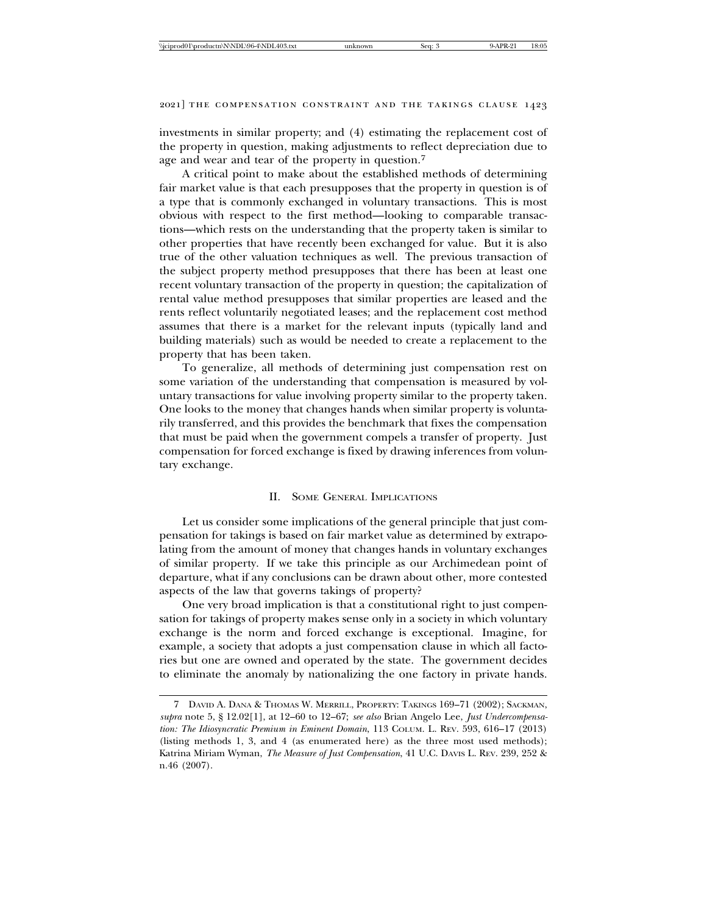investments in similar property; and (4) estimating the replacement cost of the property in question, making adjustments to reflect depreciation due to age and wear and tear of the property in question.<sup>7</sup>

A critical point to make about the established methods of determining fair market value is that each presupposes that the property in question is of a type that is commonly exchanged in voluntary transactions. This is most obvious with respect to the first method—looking to comparable transactions—which rests on the understanding that the property taken is similar to other properties that have recently been exchanged for value. But it is also true of the other valuation techniques as well. The previous transaction of the subject property method presupposes that there has been at least one recent voluntary transaction of the property in question; the capitalization of rental value method presupposes that similar properties are leased and the rents reflect voluntarily negotiated leases; and the replacement cost method assumes that there is a market for the relevant inputs (typically land and building materials) such as would be needed to create a replacement to the property that has been taken.

To generalize, all methods of determining just compensation rest on some variation of the understanding that compensation is measured by voluntary transactions for value involving property similar to the property taken. One looks to the money that changes hands when similar property is voluntarily transferred, and this provides the benchmark that fixes the compensation that must be paid when the government compels a transfer of property. Just compensation for forced exchange is fixed by drawing inferences from voluntary exchange.

#### II. SOME GENERAL IMPLICATIONS

Let us consider some implications of the general principle that just compensation for takings is based on fair market value as determined by extrapolating from the amount of money that changes hands in voluntary exchanges of similar property. If we take this principle as our Archimedean point of departure, what if any conclusions can be drawn about other, more contested aspects of the law that governs takings of property?

One very broad implication is that a constitutional right to just compensation for takings of property makes sense only in a society in which voluntary exchange is the norm and forced exchange is exceptional. Imagine, for example, a society that adopts a just compensation clause in which all factories but one are owned and operated by the state. The government decides to eliminate the anomaly by nationalizing the one factory in private hands.

<sup>7</sup> DAVID A. DANA & THOMAS W. MERRILL, PROPERTY: TAKINGS 169–71 (2002); SACKMAN, *supra* note 5, § 12.02[1], at 12–60 to 12–67; *see also* Brian Angelo Lee, *Just Undercompensation: The Idiosyncratic Premium in Eminent Domain*, 113 COLUM. L. REV. 593, 616–17 (2013) (listing methods 1, 3, and 4 (as enumerated here) as the three most used methods); Katrina Miriam Wyman, *The Measure of Just Compensation*, 41 U.C. DAVIS L. REV. 239, 252 & n.46 (2007).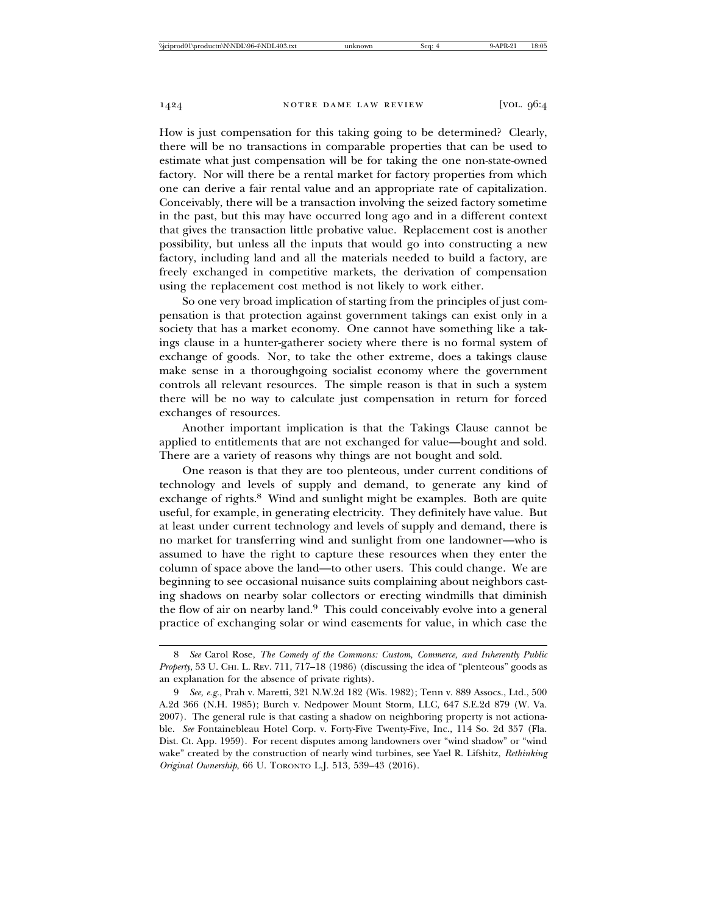How is just compensation for this taking going to be determined? Clearly, there will be no transactions in comparable properties that can be used to estimate what just compensation will be for taking the one non-state-owned factory. Nor will there be a rental market for factory properties from which one can derive a fair rental value and an appropriate rate of capitalization. Conceivably, there will be a transaction involving the seized factory sometime in the past, but this may have occurred long ago and in a different context that gives the transaction little probative value. Replacement cost is another possibility, but unless all the inputs that would go into constructing a new factory, including land and all the materials needed to build a factory, are freely exchanged in competitive markets, the derivation of compensation using the replacement cost method is not likely to work either.

So one very broad implication of starting from the principles of just compensation is that protection against government takings can exist only in a society that has a market economy. One cannot have something like a takings clause in a hunter-gatherer society where there is no formal system of exchange of goods. Nor, to take the other extreme, does a takings clause make sense in a thoroughgoing socialist economy where the government controls all relevant resources. The simple reason is that in such a system there will be no way to calculate just compensation in return for forced exchanges of resources.

Another important implication is that the Takings Clause cannot be applied to entitlements that are not exchanged for value—bought and sold. There are a variety of reasons why things are not bought and sold.

One reason is that they are too plenteous, under current conditions of technology and levels of supply and demand, to generate any kind of exchange of rights.<sup>8</sup> Wind and sunlight might be examples. Both are quite useful, for example, in generating electricity. They definitely have value. But at least under current technology and levels of supply and demand, there is no market for transferring wind and sunlight from one landowner—who is assumed to have the right to capture these resources when they enter the column of space above the land—to other users. This could change. We are beginning to see occasional nuisance suits complaining about neighbors casting shadows on nearby solar collectors or erecting windmills that diminish the flow of air on nearby land.9 This could conceivably evolve into a general practice of exchanging solar or wind easements for value, in which case the

<sup>8</sup> *See* Carol Rose, *The Comedy of the Commons: Custom, Commerce, and Inherently Public Property*, 53 U. CHI. L. REV. 711, 717–18 (1986) (discussing the idea of "plenteous" goods as an explanation for the absence of private rights).

<sup>9</sup> *See, e.g.*, Prah v. Maretti, 321 N.W.2d 182 (Wis. 1982); Tenn v. 889 Assocs., Ltd., 500 A.2d 366 (N.H. 1985); Burch v. Nedpower Mount Storm, LLC, 647 S.E.2d 879 (W. Va. 2007). The general rule is that casting a shadow on neighboring property is not actionable. *See* Fontainebleau Hotel Corp. v. Forty-Five Twenty-Five, Inc., 114 So. 2d 357 (Fla. Dist. Ct. App. 1959). For recent disputes among landowners over "wind shadow" or "wind wake" created by the construction of nearly wind turbines, see Yael R. Lifshitz, *Rethinking Original Ownership*, 66 U. TORONTO L.J. 513, 539–43 (2016).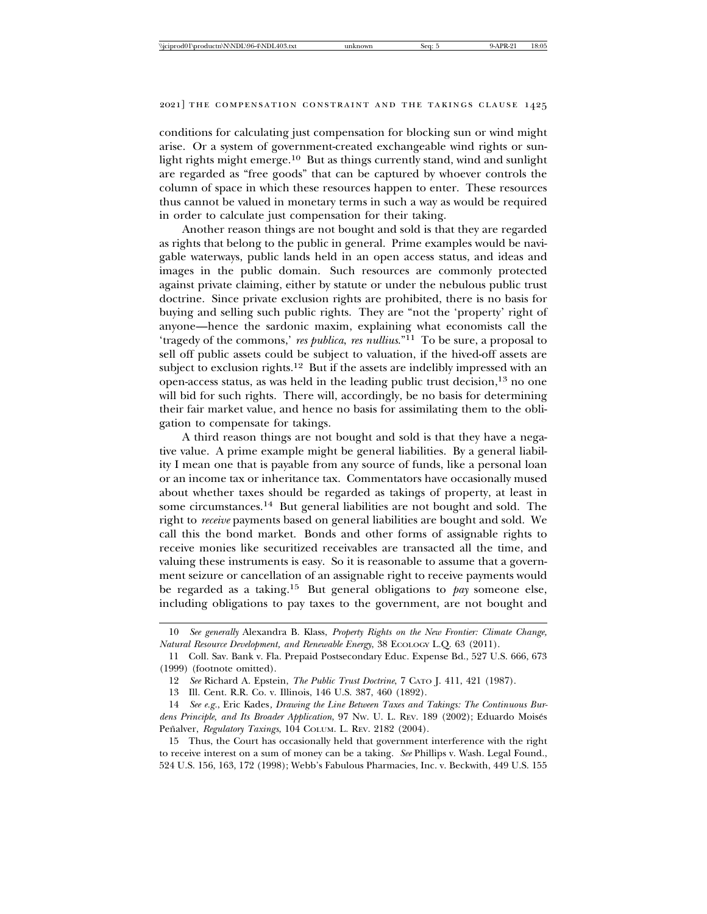conditions for calculating just compensation for blocking sun or wind might arise. Or a system of government-created exchangeable wind rights or sunlight rights might emerge.<sup>10</sup> But as things currently stand, wind and sunlight are regarded as "free goods" that can be captured by whoever controls the column of space in which these resources happen to enter. These resources thus cannot be valued in monetary terms in such a way as would be required in order to calculate just compensation for their taking.

Another reason things are not bought and sold is that they are regarded as rights that belong to the public in general. Prime examples would be navigable waterways, public lands held in an open access status, and ideas and images in the public domain. Such resources are commonly protected against private claiming, either by statute or under the nebulous public trust doctrine. Since private exclusion rights are prohibited, there is no basis for buying and selling such public rights. They are "not the 'property' right of anyone—hence the sardonic maxim, explaining what economists call the 'tragedy of the commons,' *res publica*, *res nullius*."11 To be sure, a proposal to sell off public assets could be subject to valuation, if the hived-off assets are subject to exclusion rights.<sup>12</sup> But if the assets are indelibly impressed with an open-access status, as was held in the leading public trust decision,<sup>13</sup> no one will bid for such rights. There will, accordingly, be no basis for determining their fair market value, and hence no basis for assimilating them to the obligation to compensate for takings.

A third reason things are not bought and sold is that they have a negative value. A prime example might be general liabilities. By a general liability I mean one that is payable from any source of funds, like a personal loan or an income tax or inheritance tax. Commentators have occasionally mused about whether taxes should be regarded as takings of property, at least in some circumstances.<sup>14</sup> But general liabilities are not bought and sold. The right to *receive* payments based on general liabilities are bought and sold. We call this the bond market. Bonds and other forms of assignable rights to receive monies like securitized receivables are transacted all the time, and valuing these instruments is easy. So it is reasonable to assume that a government seizure or cancellation of an assignable right to receive payments would be regarded as a taking.15 But general obligations to *pay* someone else, including obligations to pay taxes to the government, are not bought and

15 Thus, the Court has occasionally held that government interference with the right to receive interest on a sum of money can be a taking. *See* Phillips v. Wash. Legal Found., 524 U.S. 156, 163, 172 (1998); Webb's Fabulous Pharmacies, Inc. v. Beckwith, 449 U.S. 155

<sup>10</sup> *See generally* Alexandra B. Klass, *Property Rights on the New Frontier: Climate Change, Natural Resource Development, and Renewable Energy*, 38 ECOLOGY L.Q. 63 (2011).

<sup>11</sup> Coll. Sav. Bank v. Fla. Prepaid Postsecondary Educ. Expense Bd., 527 U.S. 666, 673 (1999) (footnote omitted).

<sup>12</sup> *See* Richard A. Epstein, *The Public Trust Doctrine*, 7 CATO J. 411, 421 (1987).

<sup>13</sup> Ill. Cent. R.R. Co. v. Illinois, 146 U.S. 387, 460 (1892).

<sup>14</sup> *See e.g.*, Eric Kades*, Drawing the Line Between Taxes and Takings: The Continuous Bur*dens Principle, and Its Broader Application, 97 Nw. U. L. REV. 189 (2002); Eduardo Moisés Peñalver, Regulatory Taxings, 104 COLUM. L. REV. 2182 (2004).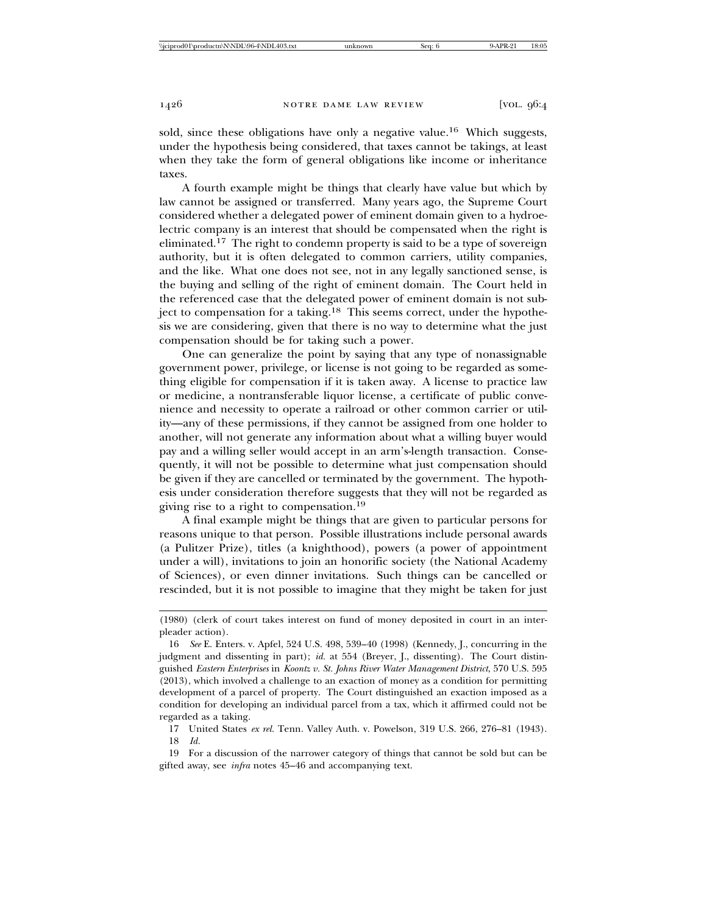sold, since these obligations have only a negative value.<sup>16</sup> Which suggests, under the hypothesis being considered, that taxes cannot be takings, at least when they take the form of general obligations like income or inheritance taxes.

A fourth example might be things that clearly have value but which by law cannot be assigned or transferred. Many years ago, the Supreme Court considered whether a delegated power of eminent domain given to a hydroelectric company is an interest that should be compensated when the right is eliminated.<sup>17</sup> The right to condemn property is said to be a type of sovereign authority, but it is often delegated to common carriers, utility companies, and the like. What one does not see, not in any legally sanctioned sense, is the buying and selling of the right of eminent domain. The Court held in the referenced case that the delegated power of eminent domain is not subject to compensation for a taking.<sup>18</sup> This seems correct, under the hypothesis we are considering, given that there is no way to determine what the just compensation should be for taking such a power.

One can generalize the point by saying that any type of nonassignable government power, privilege, or license is not going to be regarded as something eligible for compensation if it is taken away. A license to practice law or medicine, a nontransferable liquor license, a certificate of public convenience and necessity to operate a railroad or other common carrier or utility—any of these permissions, if they cannot be assigned from one holder to another, will not generate any information about what a willing buyer would pay and a willing seller would accept in an arm's-length transaction. Consequently, it will not be possible to determine what just compensation should be given if they are cancelled or terminated by the government. The hypothesis under consideration therefore suggests that they will not be regarded as giving rise to a right to compensation.19

A final example might be things that are given to particular persons for reasons unique to that person. Possible illustrations include personal awards (a Pulitzer Prize), titles (a knighthood), powers (a power of appointment under a will), invitations to join an honorific society (the National Academy of Sciences), or even dinner invitations. Such things can be cancelled or rescinded, but it is not possible to imagine that they might be taken for just

<sup>(1980) (</sup>clerk of court takes interest on fund of money deposited in court in an interpleader action).

<sup>16</sup> *See* E. Enters. v. Apfel, 524 U.S. 498, 539–40 (1998) (Kennedy, J., concurring in the judgment and dissenting in part); *id.* at 554 (Breyer, J., dissenting). The Court distinguished *Eastern Enterprises* in *Koontz v. St. Johns River Water Management District*, 570 U.S. 595 (2013), which involved a challenge to an exaction of money as a condition for permitting development of a parcel of property. The Court distinguished an exaction imposed as a condition for developing an individual parcel from a tax, which it affirmed could not be regarded as a taking.

<sup>17</sup> United States *ex rel.* Tenn. Valley Auth. v. Powelson, 319 U.S. 266, 276–81 (1943). 18 *Id.*

<sup>19</sup> For a discussion of the narrower category of things that cannot be sold but can be gifted away, see *infra* notes 45–46 and accompanying text.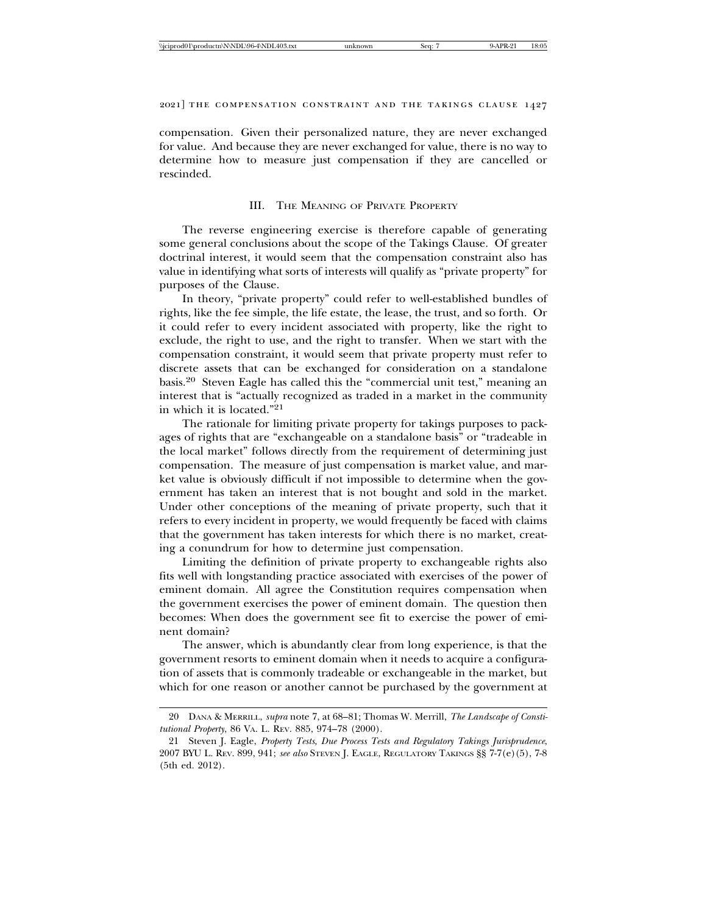compensation. Given their personalized nature, they are never exchanged for value. And because they are never exchanged for value, there is no way to determine how to measure just compensation if they are cancelled or rescinded.

#### III. THE MEANING OF PRIVATE PROPERTY

The reverse engineering exercise is therefore capable of generating some general conclusions about the scope of the Takings Clause. Of greater doctrinal interest, it would seem that the compensation constraint also has value in identifying what sorts of interests will qualify as "private property" for purposes of the Clause.

In theory, "private property" could refer to well-established bundles of rights, like the fee simple, the life estate, the lease, the trust, and so forth. Or it could refer to every incident associated with property, like the right to exclude, the right to use, and the right to transfer. When we start with the compensation constraint, it would seem that private property must refer to discrete assets that can be exchanged for consideration on a standalone basis.20 Steven Eagle has called this the "commercial unit test," meaning an interest that is "actually recognized as traded in a market in the community in which it is located."21

The rationale for limiting private property for takings purposes to packages of rights that are "exchangeable on a standalone basis" or "tradeable in the local market" follows directly from the requirement of determining just compensation. The measure of just compensation is market value, and market value is obviously difficult if not impossible to determine when the government has taken an interest that is not bought and sold in the market. Under other conceptions of the meaning of private property, such that it refers to every incident in property, we would frequently be faced with claims that the government has taken interests for which there is no market, creating a conundrum for how to determine just compensation.

Limiting the definition of private property to exchangeable rights also fits well with longstanding practice associated with exercises of the power of eminent domain. All agree the Constitution requires compensation when the government exercises the power of eminent domain. The question then becomes: When does the government see fit to exercise the power of eminent domain?

The answer, which is abundantly clear from long experience, is that the government resorts to eminent domain when it needs to acquire a configuration of assets that is commonly tradeable or exchangeable in the market, but which for one reason or another cannot be purchased by the government at

<sup>20</sup> DANA & MERRILL, *supra* note 7, at 68–81; Thomas W. Merrill, *The Landscape of Constitutional Property*, 86 VA. L. REV. 885, 974–78 (2000).

<sup>21</sup> Steven J. Eagle, *Property Tests, Due Process Tests and Regulatory Takings Jurisprudence*, 2007 BYU L. REV. 899, 941; *see also* STEVEN J. EAGLE, REGULATORY TAKINGS §§ 7-7(e)(5), 7-8 (5th ed. 2012).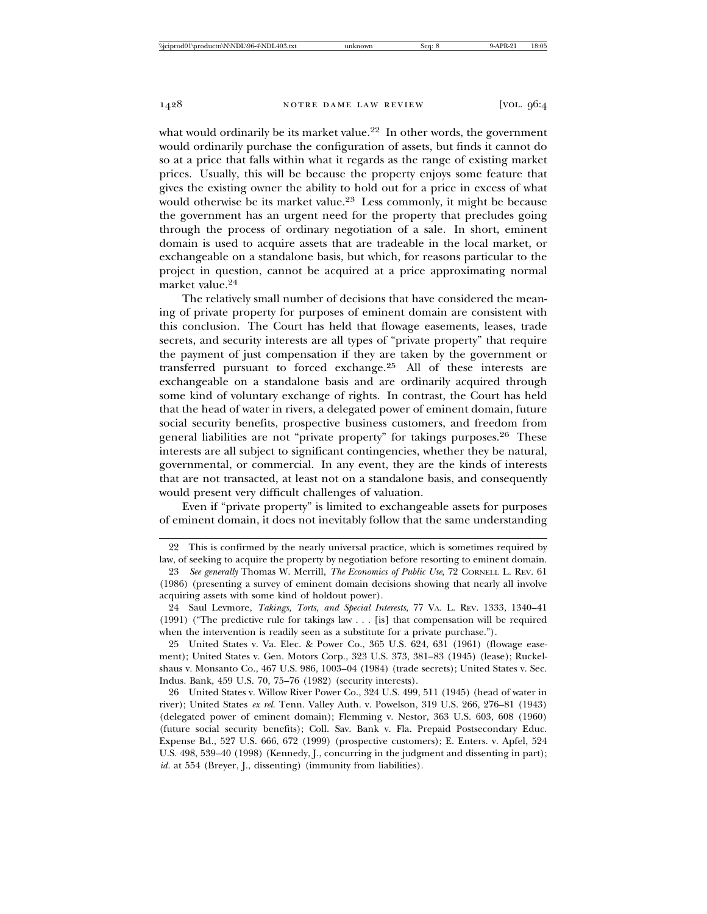what would ordinarily be its market value.<sup>22</sup> In other words, the government would ordinarily purchase the configuration of assets, but finds it cannot do so at a price that falls within what it regards as the range of existing market prices. Usually, this will be because the property enjoys some feature that gives the existing owner the ability to hold out for a price in excess of what would otherwise be its market value.<sup>23</sup> Less commonly, it might be because the government has an urgent need for the property that precludes going through the process of ordinary negotiation of a sale. In short, eminent domain is used to acquire assets that are tradeable in the local market, or exchangeable on a standalone basis, but which, for reasons particular to the project in question, cannot be acquired at a price approximating normal market value.<sup>24</sup>

The relatively small number of decisions that have considered the meaning of private property for purposes of eminent domain are consistent with this conclusion. The Court has held that flowage easements, leases, trade secrets, and security interests are all types of "private property" that require the payment of just compensation if they are taken by the government or transferred pursuant to forced exchange.25 All of these interests are exchangeable on a standalone basis and are ordinarily acquired through some kind of voluntary exchange of rights. In contrast, the Court has held that the head of water in rivers, a delegated power of eminent domain, future social security benefits, prospective business customers, and freedom from general liabilities are not "private property" for takings purposes.26 These interests are all subject to significant contingencies, whether they be natural, governmental, or commercial. In any event, they are the kinds of interests that are not transacted, at least not on a standalone basis, and consequently would present very difficult challenges of valuation.

Even if "private property" is limited to exchangeable assets for purposes of eminent domain, it does not inevitably follow that the same understanding

25 United States v. Va. Elec. & Power Co., 365 U.S. 624, 631 (1961) (flowage easement); United States v. Gen. Motors Corp., 323 U.S. 373, 381–83 (1945) (lease); Ruckelshaus v. Monsanto Co., 467 U.S. 986, 1003–04 (1984) (trade secrets); United States v. Sec. Indus. Bank, 459 U.S. 70, 75–76 (1982) (security interests).

26 United States v. Willow River Power Co., 324 U.S. 499, 511 (1945) (head of water in river); United States *ex rel.* Tenn. Valley Auth. v. Powelson, 319 U.S. 266, 276–81 (1943) (delegated power of eminent domain); Flemming v. Nestor, 363 U.S. 603, 608 (1960) (future social security benefits); Coll. Sav. Bank v. Fla. Prepaid Postsecondary Educ. Expense Bd., 527 U.S. 666, 672 (1999) (prospective customers); E. Enters. v. Apfel, 524 U.S. 498, 539–40 (1998) (Kennedy, J., concurring in the judgment and dissenting in part); *id.* at 554 (Breyer, J., dissenting) (immunity from liabilities).

<sup>22</sup> This is confirmed by the nearly universal practice, which is sometimes required by law, of seeking to acquire the property by negotiation before resorting to eminent domain.

<sup>23</sup> *See generally* Thomas W. Merrill, *The Economics of Public Use*, 72 CORNELL L. REV. 61 (1986) (presenting a survey of eminent domain decisions showing that nearly all involve acquiring assets with some kind of holdout power).

<sup>24</sup> Saul Levmore, *Takings, Torts, and Special Interests*, 77 VA. L. REV. 1333, 1340–41 (1991) ("The predictive rule for takings law . . . [is] that compensation will be required when the intervention is readily seen as a substitute for a private purchase.").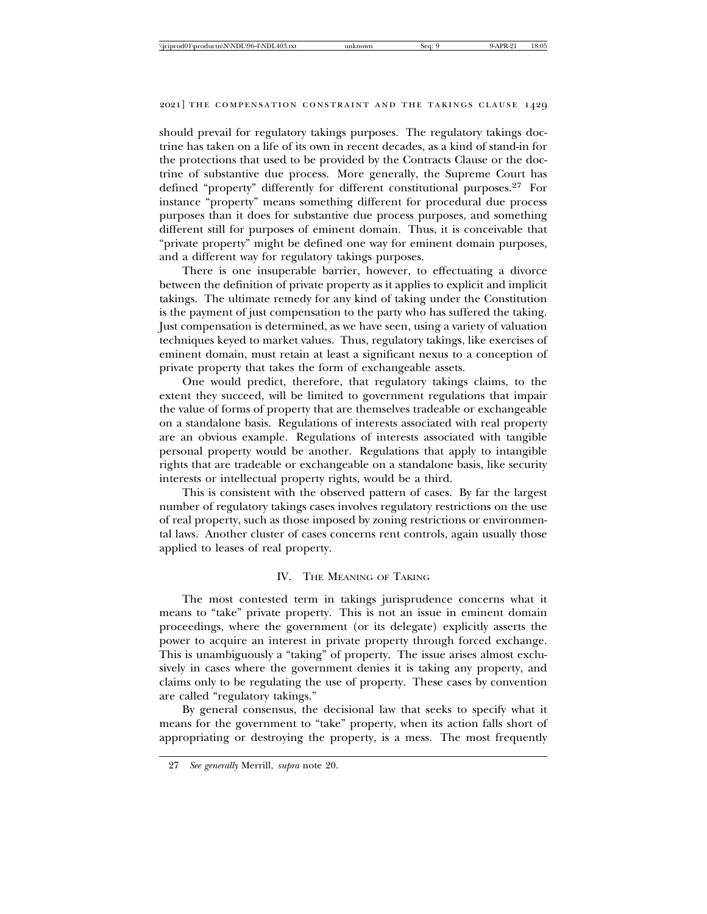should prevail for regulatory takings purposes. The regulatory takings doctrine has taken on a life of its own in recent decades, as a kind of stand-in for the protections that used to be provided by the Contracts Clause or the doctrine of substantive due process. More generally, the Supreme Court has defined "property" differently for different constitutional purposes.<sup>27</sup> For instance "property" means something different for procedural due process purposes than it does for substantive due process purposes, and something different still for purposes of eminent domain. Thus, it is conceivable that "private property" might be defined one way for eminent domain purposes, and a different way for regulatory takings purposes.

There is one insuperable barrier, however, to effectuating a divorce between the definition of private property as it applies to explicit and implicit takings. The ultimate remedy for any kind of taking under the Constitution is the payment of just compensation to the party who has suffered the taking. Just compensation is determined, as we have seen, using a variety of valuation techniques keyed to market values. Thus, regulatory takings, like exercises of eminent domain, must retain at least a significant nexus to a conception of private property that takes the form of exchangeable assets.

One would predict, therefore, that regulatory takings claims, to the extent they succeed, will be limited to government regulations that impair the value of forms of property that are themselves tradeable or exchangeable on a standalone basis. Regulations of interests associated with real property are an obvious example. Regulations of interests associated with tangible personal property would be another. Regulations that apply to intangible rights that are tradeable or exchangeable on a standalone basis, like security interests or intellectual property rights, would be a third.

This is consistent with the observed pattern of cases. By far the largest number of regulatory takings cases involves regulatory restrictions on the use of real property, such as those imposed by zoning restrictions or environmental laws. Another cluster of cases concerns rent controls, again usually those applied to leases of real property.

### IV. THE MEANING OF TAKING

The most contested term in takings jurisprudence concerns what it means to "take" private property. This is not an issue in eminent domain proceedings, where the government (or its delegate) explicitly asserts the power to acquire an interest in private property through forced exchange. This is unambiguously a "taking" of property. The issue arises almost exclusively in cases where the government denies it is taking any property, and claims only to be regulating the use of property. These cases by convention are called "regulatory takings."

By general consensus, the decisional law that seeks to specify what it means for the government to "take" property, when its action falls short of appropriating or destroying the property, is a mess. The most frequently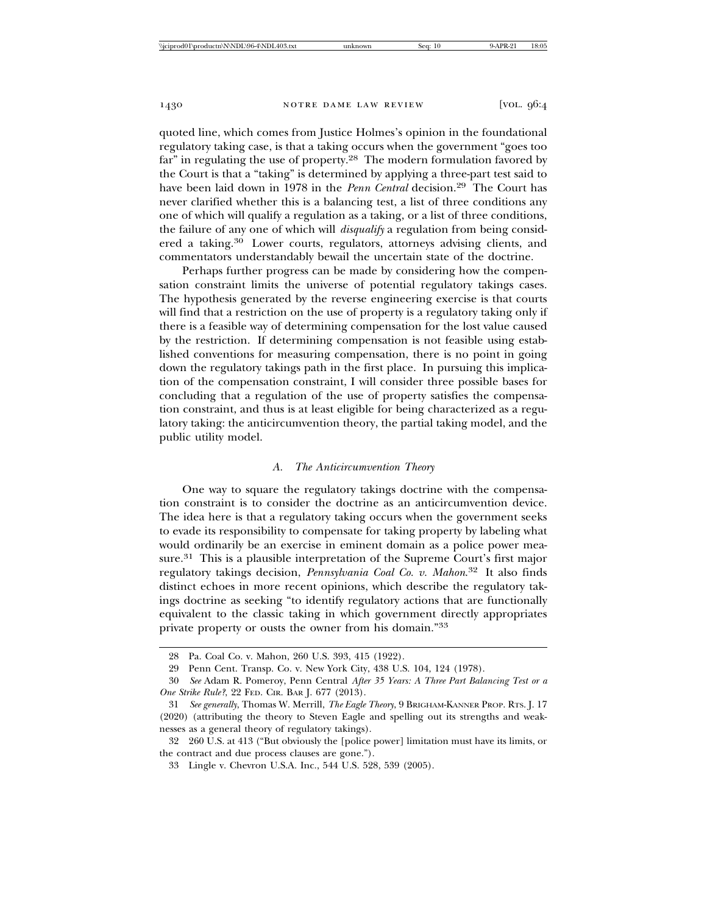quoted line, which comes from Justice Holmes's opinion in the foundational regulatory taking case, is that a taking occurs when the government "goes too far" in regulating the use of property.<sup>28</sup> The modern formulation favored by the Court is that a "taking" is determined by applying a three-part test said to have been laid down in 1978 in the *Penn Central* decision.<sup>29</sup> The Court has never clarified whether this is a balancing test, a list of three conditions any one of which will qualify a regulation as a taking, or a list of three conditions, the failure of any one of which will *disqualify* a regulation from being considered a taking.<sup>30</sup> Lower courts, regulators, attorneys advising clients, and commentators understandably bewail the uncertain state of the doctrine.

Perhaps further progress can be made by considering how the compensation constraint limits the universe of potential regulatory takings cases. The hypothesis generated by the reverse engineering exercise is that courts will find that a restriction on the use of property is a regulatory taking only if there is a feasible way of determining compensation for the lost value caused by the restriction. If determining compensation is not feasible using established conventions for measuring compensation, there is no point in going down the regulatory takings path in the first place. In pursuing this implication of the compensation constraint, I will consider three possible bases for concluding that a regulation of the use of property satisfies the compensation constraint, and thus is at least eligible for being characterized as a regulatory taking: the anticircumvention theory, the partial taking model, and the public utility model.

#### *A. The Anticircumvention Theory*

One way to square the regulatory takings doctrine with the compensation constraint is to consider the doctrine as an anticircumvention device. The idea here is that a regulatory taking occurs when the government seeks to evade its responsibility to compensate for taking property by labeling what would ordinarily be an exercise in eminent domain as a police power measure.31 This is a plausible interpretation of the Supreme Court's first major regulatory takings decision, *Pennsylvania Coal Co. v. Mahon*. 32 It also finds distinct echoes in more recent opinions, which describe the regulatory takings doctrine as seeking "to identify regulatory actions that are functionally equivalent to the classic taking in which government directly appropriates private property or ousts the owner from his domain."33

<sup>28</sup> Pa. Coal Co. v. Mahon, 260 U.S. 393, 415 (1922).

<sup>29</sup> Penn Cent. Transp. Co. v. New York City, 438 U.S. 104, 124 (1978).

<sup>30</sup> *See* Adam R. Pomeroy, Penn Central *After 35 Years: A Three Part Balancing Test or a One Strike Rule?*, 22 FED. CIR. BAR J. 677 (2013).

<sup>31</sup> *See generally*, Thomas W. Merrill, *The Eagle Theory*, 9 BRIGHAM-KANNER PROP. RTS. J. 17 (2020) (attributing the theory to Steven Eagle and spelling out its strengths and weaknesses as a general theory of regulatory takings).

<sup>32 260</sup> U.S. at 413 ("But obviously the [police power] limitation must have its limits, or the contract and due process clauses are gone.").

<sup>33</sup> Lingle v. Chevron U.S.A. Inc., 544 U.S. 528, 539 (2005).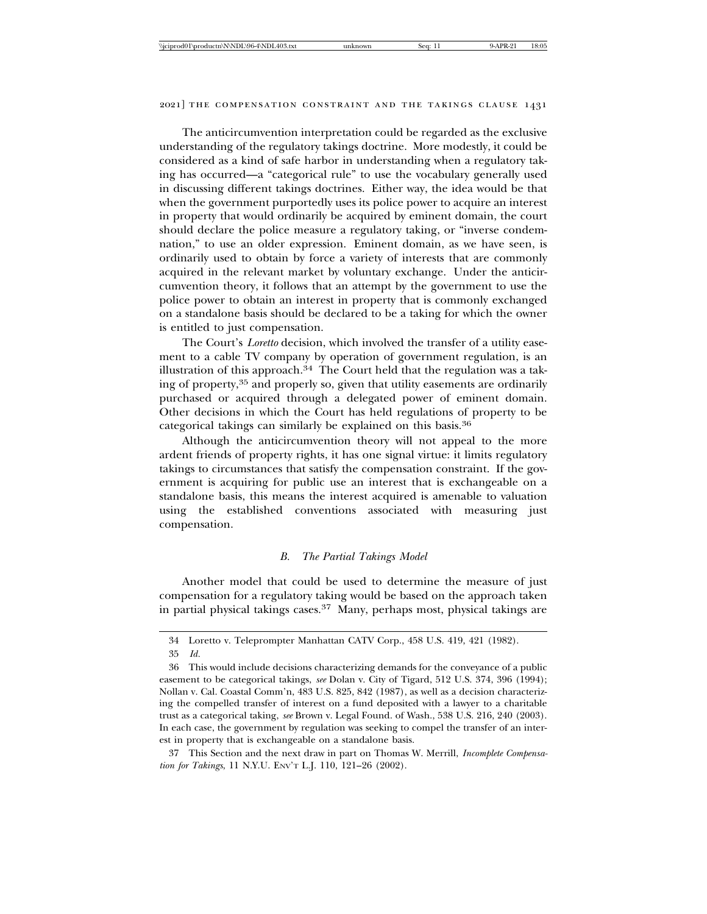The anticircumvention interpretation could be regarded as the exclusive understanding of the regulatory takings doctrine. More modestly, it could be considered as a kind of safe harbor in understanding when a regulatory taking has occurred—a "categorical rule" to use the vocabulary generally used in discussing different takings doctrines. Either way, the idea would be that when the government purportedly uses its police power to acquire an interest in property that would ordinarily be acquired by eminent domain, the court should declare the police measure a regulatory taking, or "inverse condemnation," to use an older expression. Eminent domain, as we have seen, is ordinarily used to obtain by force a variety of interests that are commonly acquired in the relevant market by voluntary exchange. Under the anticircumvention theory, it follows that an attempt by the government to use the police power to obtain an interest in property that is commonly exchanged on a standalone basis should be declared to be a taking for which the owner is entitled to just compensation.

The Court's *Loretto* decision, which involved the transfer of a utility easement to a cable TV company by operation of government regulation, is an illustration of this approach.<sup>34</sup> The Court held that the regulation was a taking of property,35 and properly so, given that utility easements are ordinarily purchased or acquired through a delegated power of eminent domain. Other decisions in which the Court has held regulations of property to be categorical takings can similarly be explained on this basis.36

Although the anticircumvention theory will not appeal to the more ardent friends of property rights, it has one signal virtue: it limits regulatory takings to circumstances that satisfy the compensation constraint. If the government is acquiring for public use an interest that is exchangeable on a standalone basis, this means the interest acquired is amenable to valuation using the established conventions associated with measuring just compensation.

#### *B. The Partial Takings Model*

Another model that could be used to determine the measure of just compensation for a regulatory taking would be based on the approach taken in partial physical takings cases.37 Many, perhaps most, physical takings are

37 This Section and the next draw in part on Thomas W. Merrill, *Incomplete Compensation for Takings*, 11 N.Y.U. ENV'T L.J. 110, 121–26 (2002).

<sup>34</sup> Loretto v. Teleprompter Manhattan CATV Corp., 458 U.S. 419, 421 (1982).

<sup>35</sup> *Id.*

<sup>36</sup> This would include decisions characterizing demands for the conveyance of a public easement to be categorical takings, *see* Dolan v. City of Tigard, 512 U.S. 374, 396 (1994); Nollan v. Cal. Coastal Comm'n, 483 U.S. 825, 842 (1987), as well as a decision characterizing the compelled transfer of interest on a fund deposited with a lawyer to a charitable trust as a categorical taking, *see* Brown v. Legal Found. of Wash., 538 U.S. 216, 240 (2003). In each case, the government by regulation was seeking to compel the transfer of an interest in property that is exchangeable on a standalone basis.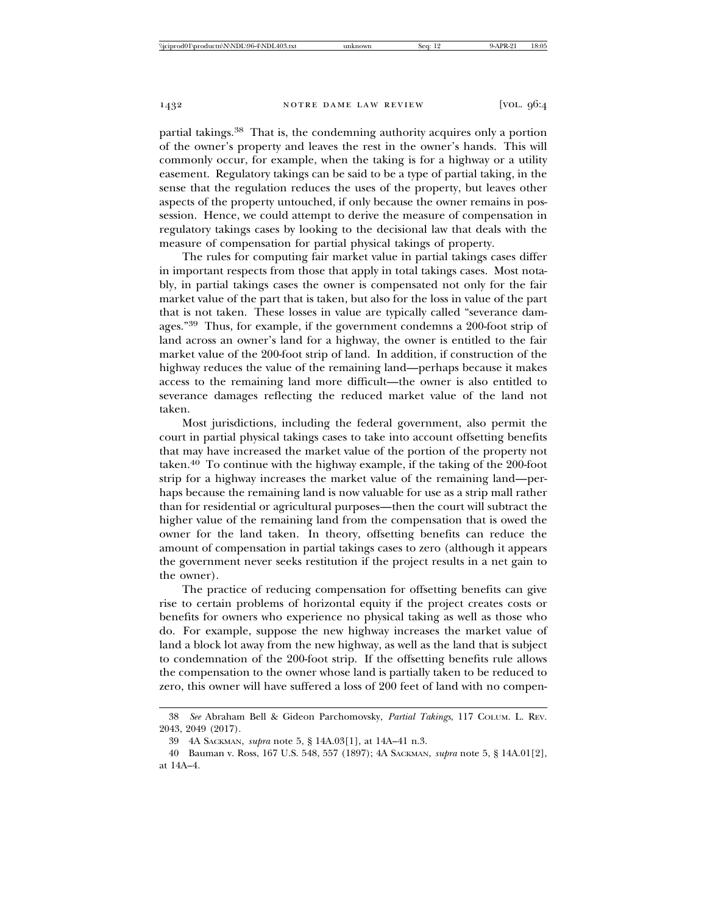partial takings.38 That is, the condemning authority acquires only a portion of the owner's property and leaves the rest in the owner's hands. This will commonly occur, for example, when the taking is for a highway or a utility easement. Regulatory takings can be said to be a type of partial taking, in the sense that the regulation reduces the uses of the property, but leaves other aspects of the property untouched, if only because the owner remains in possession. Hence, we could attempt to derive the measure of compensation in regulatory takings cases by looking to the decisional law that deals with the measure of compensation for partial physical takings of property.

The rules for computing fair market value in partial takings cases differ in important respects from those that apply in total takings cases. Most notably, in partial takings cases the owner is compensated not only for the fair market value of the part that is taken, but also for the loss in value of the part that is not taken. These losses in value are typically called "severance damages."39 Thus, for example, if the government condemns a 200-foot strip of land across an owner's land for a highway, the owner is entitled to the fair market value of the 200-foot strip of land. In addition, if construction of the highway reduces the value of the remaining land—perhaps because it makes access to the remaining land more difficult—the owner is also entitled to severance damages reflecting the reduced market value of the land not taken.

Most jurisdictions, including the federal government, also permit the court in partial physical takings cases to take into account offsetting benefits that may have increased the market value of the portion of the property not taken.40 To continue with the highway example, if the taking of the 200-foot strip for a highway increases the market value of the remaining land—perhaps because the remaining land is now valuable for use as a strip mall rather than for residential or agricultural purposes—then the court will subtract the higher value of the remaining land from the compensation that is owed the owner for the land taken. In theory, offsetting benefits can reduce the amount of compensation in partial takings cases to zero (although it appears the government never seeks restitution if the project results in a net gain to the owner).

The practice of reducing compensation for offsetting benefits can give rise to certain problems of horizontal equity if the project creates costs or benefits for owners who experience no physical taking as well as those who do. For example, suppose the new highway increases the market value of land a block lot away from the new highway, as well as the land that is subject to condemnation of the 200-foot strip. If the offsetting benefits rule allows the compensation to the owner whose land is partially taken to be reduced to zero, this owner will have suffered a loss of 200 feet of land with no compen-

<sup>38</sup> *See* Abraham Bell & Gideon Parchomovsky, *Partial Takings*, 117 COLUM. L. REV. 2043, 2049 (2017).

<sup>39 4</sup>A SACKMAN, *supra* note 5, § 14A.03[1], at 14A–41 n.3.

<sup>40</sup> Bauman v. Ross, 167 U.S. 548, 557 (1897); 4A SACKMAN, *supra* note 5, § 14A.01[2], at 14A–4.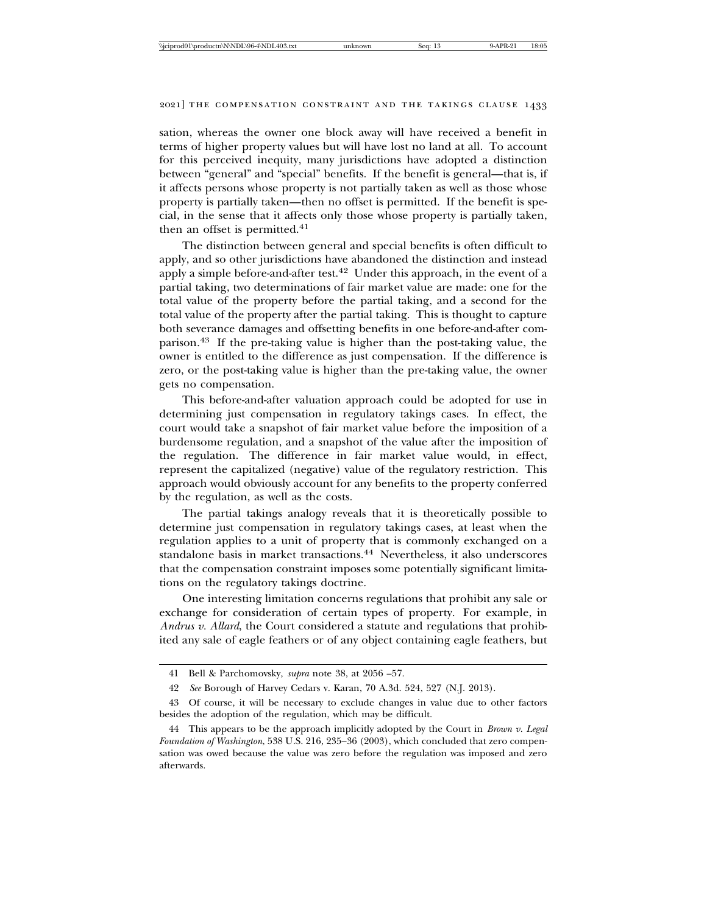sation, whereas the owner one block away will have received a benefit in terms of higher property values but will have lost no land at all. To account for this perceived inequity, many jurisdictions have adopted a distinction between "general" and "special" benefits. If the benefit is general—that is, if it affects persons whose property is not partially taken as well as those whose property is partially taken—then no offset is permitted. If the benefit is special, in the sense that it affects only those whose property is partially taken, then an offset is permitted.<sup>41</sup>

The distinction between general and special benefits is often difficult to apply, and so other jurisdictions have abandoned the distinction and instead apply a simple before-and-after test.<sup>42</sup> Under this approach, in the event of a partial taking, two determinations of fair market value are made: one for the total value of the property before the partial taking, and a second for the total value of the property after the partial taking. This is thought to capture both severance damages and offsetting benefits in one before-and-after comparison.43 If the pre-taking value is higher than the post-taking value, the owner is entitled to the difference as just compensation. If the difference is zero, or the post-taking value is higher than the pre-taking value, the owner gets no compensation.

This before-and-after valuation approach could be adopted for use in determining just compensation in regulatory takings cases. In effect, the court would take a snapshot of fair market value before the imposition of a burdensome regulation, and a snapshot of the value after the imposition of the regulation. The difference in fair market value would, in effect, represent the capitalized (negative) value of the regulatory restriction. This approach would obviously account for any benefits to the property conferred by the regulation, as well as the costs.

The partial takings analogy reveals that it is theoretically possible to determine just compensation in regulatory takings cases, at least when the regulation applies to a unit of property that is commonly exchanged on a standalone basis in market transactions.<sup>44</sup> Nevertheless, it also underscores that the compensation constraint imposes some potentially significant limitations on the regulatory takings doctrine.

One interesting limitation concerns regulations that prohibit any sale or exchange for consideration of certain types of property. For example, in *Andrus v. Allard*, the Court considered a statute and regulations that prohibited any sale of eagle feathers or of any object containing eagle feathers, but

<sup>41</sup> Bell & Parchomovsky, *supra* note 38, at 2056 –57.

<sup>42</sup> *See* Borough of Harvey Cedars v. Karan, 70 A.3d. 524, 527 (N.J. 2013).

<sup>43</sup> Of course, it will be necessary to exclude changes in value due to other factors besides the adoption of the regulation, which may be difficult.

<sup>44</sup> This appears to be the approach implicitly adopted by the Court in *Brown v. Legal Foundation of Washington*, 538 U.S. 216, 235–36 (2003), which concluded that zero compensation was owed because the value was zero before the regulation was imposed and zero afterwards.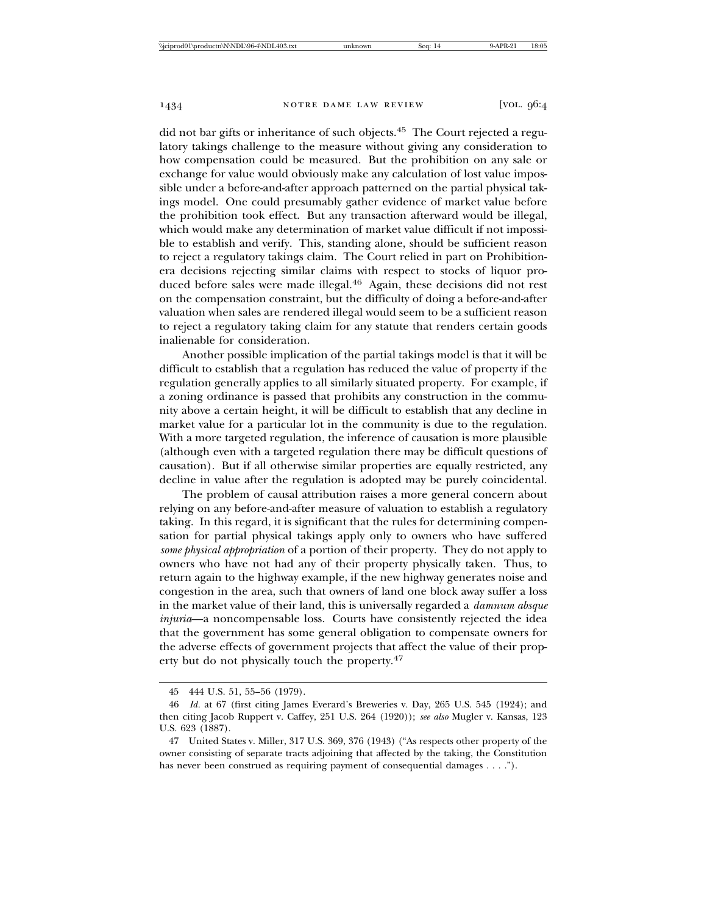did not bar gifts or inheritance of such objects.45 The Court rejected a regulatory takings challenge to the measure without giving any consideration to how compensation could be measured. But the prohibition on any sale or exchange for value would obviously make any calculation of lost value impossible under a before-and-after approach patterned on the partial physical takings model. One could presumably gather evidence of market value before the prohibition took effect. But any transaction afterward would be illegal, which would make any determination of market value difficult if not impossible to establish and verify. This, standing alone, should be sufficient reason to reject a regulatory takings claim. The Court relied in part on Prohibitionera decisions rejecting similar claims with respect to stocks of liquor produced before sales were made illegal.46 Again, these decisions did not rest on the compensation constraint, but the difficulty of doing a before-and-after valuation when sales are rendered illegal would seem to be a sufficient reason to reject a regulatory taking claim for any statute that renders certain goods inalienable for consideration.

Another possible implication of the partial takings model is that it will be difficult to establish that a regulation has reduced the value of property if the regulation generally applies to all similarly situated property. For example, if a zoning ordinance is passed that prohibits any construction in the community above a certain height, it will be difficult to establish that any decline in market value for a particular lot in the community is due to the regulation. With a more targeted regulation, the inference of causation is more plausible (although even with a targeted regulation there may be difficult questions of causation). But if all otherwise similar properties are equally restricted, any decline in value after the regulation is adopted may be purely coincidental.

The problem of causal attribution raises a more general concern about relying on any before-and-after measure of valuation to establish a regulatory taking. In this regard, it is significant that the rules for determining compensation for partial physical takings apply only to owners who have suffered *some physical appropriation* of a portion of their property. They do not apply to owners who have not had any of their property physically taken. Thus, to return again to the highway example, if the new highway generates noise and congestion in the area, such that owners of land one block away suffer a loss in the market value of their land, this is universally regarded a *damnum absque injuria*—a noncompensable loss. Courts have consistently rejected the idea that the government has some general obligation to compensate owners for the adverse effects of government projects that affect the value of their property but do not physically touch the property.47

<sup>45 444</sup> U.S. 51, 55–56 (1979).

<sup>46</sup> *Id.* at 67 (first citing James Everard's Breweries v. Day, 265 U.S. 545 (1924); and then citing Jacob Ruppert v. Caffey, 251 U.S. 264 (1920)); *see also* Mugler v. Kansas, 123 U.S. 623 (1887).

<sup>47</sup> United States v. Miller, 317 U.S. 369, 376 (1943) ("As respects other property of the owner consisting of separate tracts adjoining that affected by the taking, the Constitution has never been construed as requiring payment of consequential damages . . . .").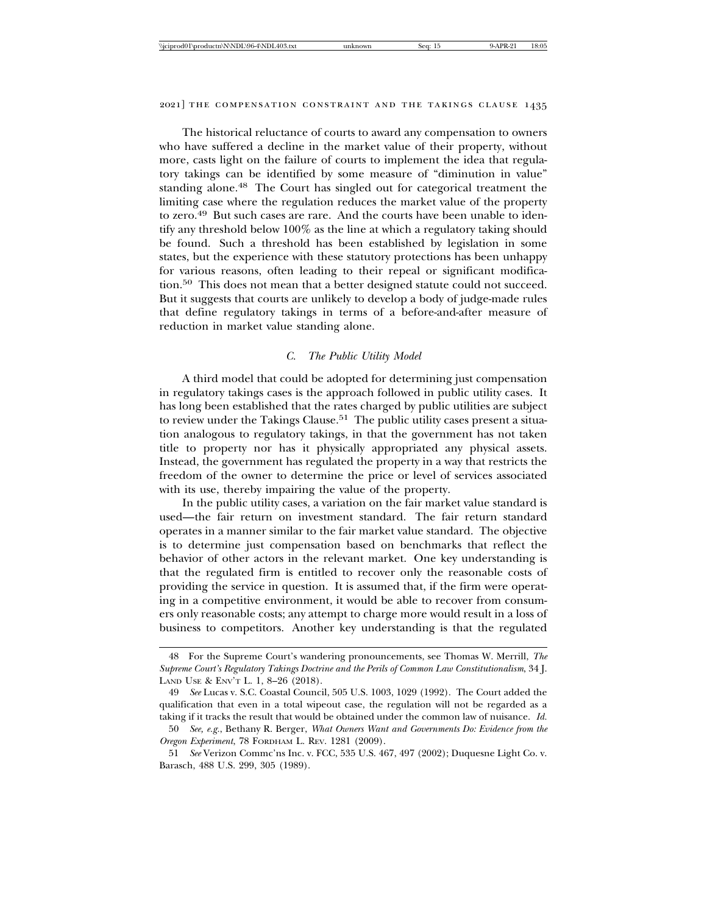The historical reluctance of courts to award any compensation to owners who have suffered a decline in the market value of their property, without more, casts light on the failure of courts to implement the idea that regulatory takings can be identified by some measure of "diminution in value" standing alone.<sup>48</sup> The Court has singled out for categorical treatment the limiting case where the regulation reduces the market value of the property to zero.49 But such cases are rare. And the courts have been unable to identify any threshold below 100% as the line at which a regulatory taking should be found. Such a threshold has been established by legislation in some states, but the experience with these statutory protections has been unhappy for various reasons, often leading to their repeal or significant modification.<sup>50</sup> This does not mean that a better designed statute could not succeed. But it suggests that courts are unlikely to develop a body of judge-made rules that define regulatory takings in terms of a before-and-after measure of reduction in market value standing alone.

#### *C. The Public Utility Model*

A third model that could be adopted for determining just compensation in regulatory takings cases is the approach followed in public utility cases. It has long been established that the rates charged by public utilities are subject to review under the Takings Clause.<sup>51</sup> The public utility cases present a situation analogous to regulatory takings, in that the government has not taken title to property nor has it physically appropriated any physical assets. Instead, the government has regulated the property in a way that restricts the freedom of the owner to determine the price or level of services associated with its use, thereby impairing the value of the property.

In the public utility cases, a variation on the fair market value standard is used—the fair return on investment standard. The fair return standard operates in a manner similar to the fair market value standard. The objective is to determine just compensation based on benchmarks that reflect the behavior of other actors in the relevant market. One key understanding is that the regulated firm is entitled to recover only the reasonable costs of providing the service in question. It is assumed that, if the firm were operating in a competitive environment, it would be able to recover from consumers only reasonable costs; any attempt to charge more would result in a loss of business to competitors. Another key understanding is that the regulated

<sup>48</sup> For the Supreme Court's wandering pronouncements, see Thomas W. Merrill, *The Supreme Court's Regulatory Takings Doctrine and the Perils of Common Law Constitutionalism*, 34 J. LAND USE & ENV'T L. 1, 8–26 (2018).

<sup>49</sup> *See* Lucas v. S.C. Coastal Council, 505 U.S. 1003, 1029 (1992). The Court added the qualification that even in a total wipeout case, the regulation will not be regarded as a taking if it tracks the result that would be obtained under the common law of nuisance. *Id.*

<sup>50</sup> *See, e.g.*, Bethany R. Berger, *What Owners Want and Governments Do: Evidence from the Oregon Experiment*, 78 FORDHAM L. REV. 1281 (2009).

<sup>51</sup> *See* Verizon Commc'ns Inc. v. FCC, 535 U.S. 467, 497 (2002); Duquesne Light Co. v. Barasch, 488 U.S. 299, 305 (1989).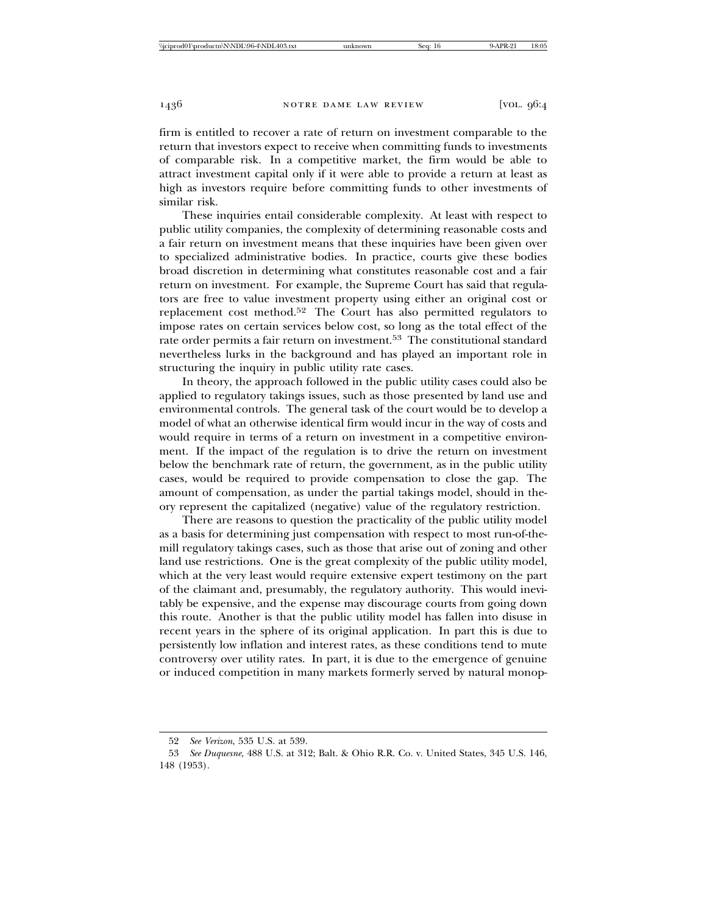firm is entitled to recover a rate of return on investment comparable to the return that investors expect to receive when committing funds to investments of comparable risk. In a competitive market, the firm would be able to attract investment capital only if it were able to provide a return at least as high as investors require before committing funds to other investments of similar risk.

These inquiries entail considerable complexity. At least with respect to public utility companies, the complexity of determining reasonable costs and a fair return on investment means that these inquiries have been given over to specialized administrative bodies. In practice, courts give these bodies broad discretion in determining what constitutes reasonable cost and a fair return on investment. For example, the Supreme Court has said that regulators are free to value investment property using either an original cost or replacement cost method.52 The Court has also permitted regulators to impose rates on certain services below cost, so long as the total effect of the rate order permits a fair return on investment.53 The constitutional standard nevertheless lurks in the background and has played an important role in structuring the inquiry in public utility rate cases.

In theory, the approach followed in the public utility cases could also be applied to regulatory takings issues, such as those presented by land use and environmental controls. The general task of the court would be to develop a model of what an otherwise identical firm would incur in the way of costs and would require in terms of a return on investment in a competitive environment. If the impact of the regulation is to drive the return on investment below the benchmark rate of return, the government, as in the public utility cases, would be required to provide compensation to close the gap. The amount of compensation, as under the partial takings model, should in theory represent the capitalized (negative) value of the regulatory restriction.

There are reasons to question the practicality of the public utility model as a basis for determining just compensation with respect to most run-of-themill regulatory takings cases, such as those that arise out of zoning and other land use restrictions. One is the great complexity of the public utility model, which at the very least would require extensive expert testimony on the part of the claimant and, presumably, the regulatory authority. This would inevitably be expensive, and the expense may discourage courts from going down this route. Another is that the public utility model has fallen into disuse in recent years in the sphere of its original application. In part this is due to persistently low inflation and interest rates, as these conditions tend to mute controversy over utility rates. In part, it is due to the emergence of genuine or induced competition in many markets formerly served by natural monop-

<sup>52</sup> *See Verizon*, 535 U.S. at 539.

<sup>53</sup> *See Duquesne*, 488 U.S. at 312; Balt. & Ohio R.R. Co. v. United States, 345 U.S. 146, 148 (1953).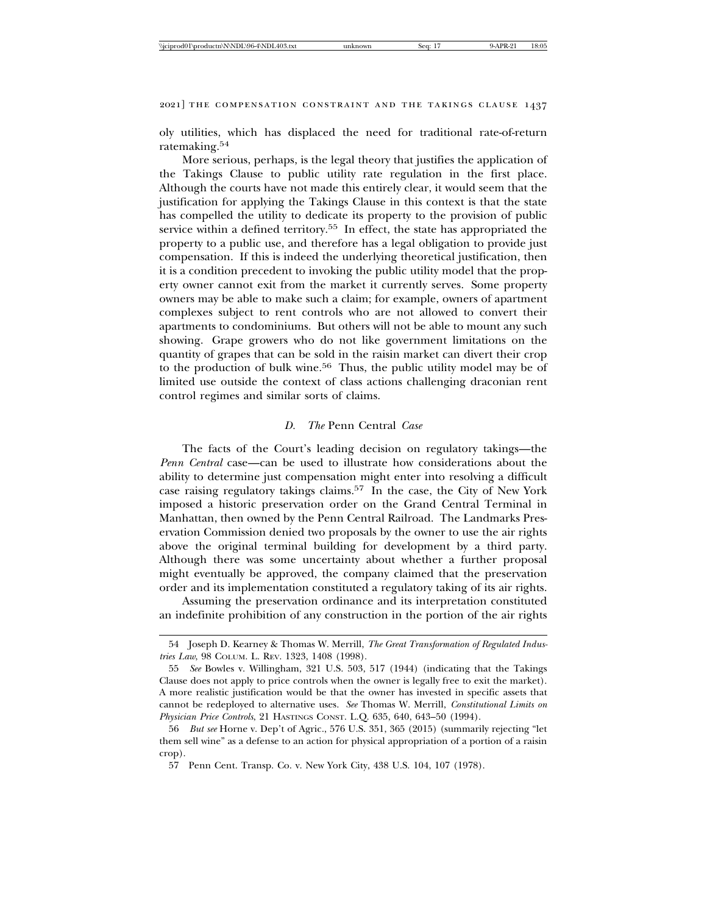oly utilities, which has displaced the need for traditional rate-of-return ratemaking.<sup>54</sup>

More serious, perhaps, is the legal theory that justifies the application of the Takings Clause to public utility rate regulation in the first place. Although the courts have not made this entirely clear, it would seem that the justification for applying the Takings Clause in this context is that the state has compelled the utility to dedicate its property to the provision of public service within a defined territory.<sup>55</sup> In effect, the state has appropriated the property to a public use, and therefore has a legal obligation to provide just compensation. If this is indeed the underlying theoretical justification, then it is a condition precedent to invoking the public utility model that the property owner cannot exit from the market it currently serves. Some property owners may be able to make such a claim; for example, owners of apartment complexes subject to rent controls who are not allowed to convert their apartments to condominiums. But others will not be able to mount any such showing. Grape growers who do not like government limitations on the quantity of grapes that can be sold in the raisin market can divert their crop to the production of bulk wine.<sup>56</sup> Thus, the public utility model may be of limited use outside the context of class actions challenging draconian rent control regimes and similar sorts of claims.

#### *D. The* Penn Central *Case*

The facts of the Court's leading decision on regulatory takings—the *Penn Central* case—can be used to illustrate how considerations about the ability to determine just compensation might enter into resolving a difficult case raising regulatory takings claims.57 In the case, the City of New York imposed a historic preservation order on the Grand Central Terminal in Manhattan, then owned by the Penn Central Railroad. The Landmarks Preservation Commission denied two proposals by the owner to use the air rights above the original terminal building for development by a third party. Although there was some uncertainty about whether a further proposal might eventually be approved, the company claimed that the preservation order and its implementation constituted a regulatory taking of its air rights.

Assuming the preservation ordinance and its interpretation constituted an indefinite prohibition of any construction in the portion of the air rights

<sup>54</sup> Joseph D. Kearney & Thomas W. Merrill, *The Great Transformation of Regulated Industries Law*, 98 COLUM. L. REV. 1323, 1408 (1998).

<sup>55</sup> *See* Bowles v. Willingham, 321 U.S. 503, 517 (1944) (indicating that the Takings Clause does not apply to price controls when the owner is legally free to exit the market). A more realistic justification would be that the owner has invested in specific assets that cannot be redeployed to alternative uses. *See* Thomas W. Merrill, *Constitutional Limits on Physician Price Controls*, 21 HASTINGS CONST. L.Q. 635, 640, 643–50 (1994).

<sup>56</sup> *But see* Horne v. Dep't of Agric., 576 U.S. 351, 365 (2015) (summarily rejecting "let them sell wine" as a defense to an action for physical appropriation of a portion of a raisin crop).

<sup>57</sup> Penn Cent. Transp. Co. v. New York City, 438 U.S. 104, 107 (1978).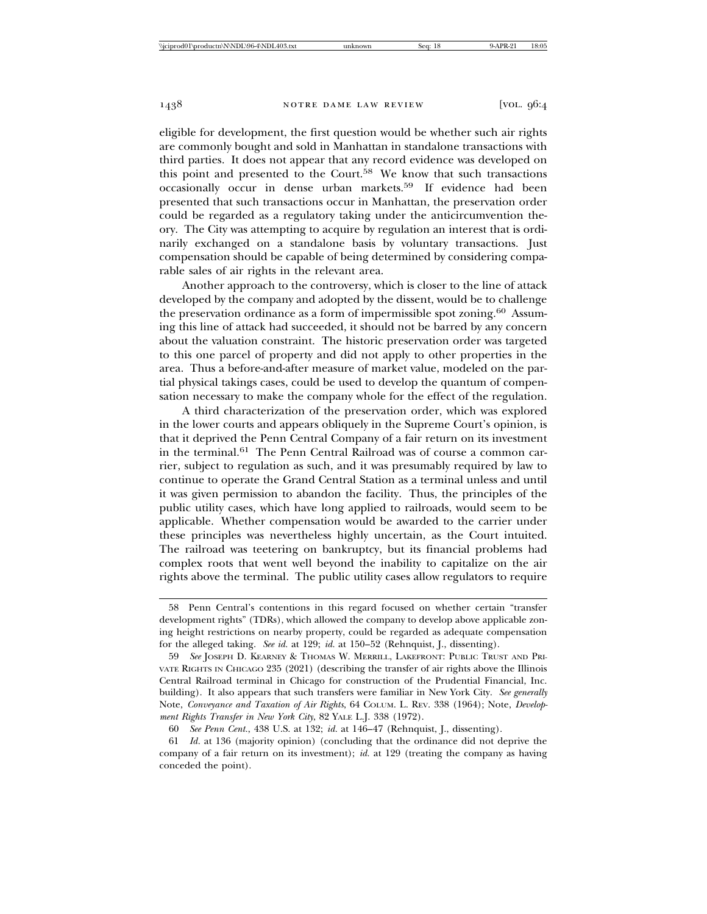eligible for development, the first question would be whether such air rights are commonly bought and sold in Manhattan in standalone transactions with third parties. It does not appear that any record evidence was developed on this point and presented to the Court.<sup>58</sup> We know that such transactions occasionally occur in dense urban markets.59 If evidence had been presented that such transactions occur in Manhattan, the preservation order could be regarded as a regulatory taking under the anticircumvention theory. The City was attempting to acquire by regulation an interest that is ordinarily exchanged on a standalone basis by voluntary transactions. Just compensation should be capable of being determined by considering comparable sales of air rights in the relevant area.

Another approach to the controversy, which is closer to the line of attack developed by the company and adopted by the dissent, would be to challenge the preservation ordinance as a form of impermissible spot zoning.<sup>60</sup> Assuming this line of attack had succeeded, it should not be barred by any concern about the valuation constraint. The historic preservation order was targeted to this one parcel of property and did not apply to other properties in the area. Thus a before-and-after measure of market value, modeled on the partial physical takings cases, could be used to develop the quantum of compensation necessary to make the company whole for the effect of the regulation.

A third characterization of the preservation order, which was explored in the lower courts and appears obliquely in the Supreme Court's opinion, is that it deprived the Penn Central Company of a fair return on its investment in the terminal.<sup>61</sup> The Penn Central Railroad was of course a common carrier, subject to regulation as such, and it was presumably required by law to continue to operate the Grand Central Station as a terminal unless and until it was given permission to abandon the facility. Thus, the principles of the public utility cases, which have long applied to railroads, would seem to be applicable. Whether compensation would be awarded to the carrier under these principles was nevertheless highly uncertain, as the Court intuited. The railroad was teetering on bankruptcy, but its financial problems had complex roots that went well beyond the inability to capitalize on the air rights above the terminal. The public utility cases allow regulators to require

<sup>58</sup> Penn Central's contentions in this regard focused on whether certain "transfer development rights" (TDRs), which allowed the company to develop above applicable zoning height restrictions on nearby property, could be regarded as adequate compensation for the alleged taking. *See id.* at 129; *id.* at 150–52 (Rehnquist, J., dissenting).

<sup>59</sup> *See* JOSEPH D. KEARNEY & THOMAS W. MERRILL, LAKEFRONT: PUBLIC TRUST AND PRI-VATE RIGHTS IN CHICAGO 235 (2021) (describing the transfer of air rights above the Illinois Central Railroad terminal in Chicago for construction of the Prudential Financial, Inc. building). It also appears that such transfers were familiar in New York City. *See generally* Note, *Conveyance and Taxation of Air Rights*, 64 COLUM. L. REV. 338 (1964); Note, *Development Rights Transfer in New York City*, 82 YALE L.J. 338 (1972).

<sup>60</sup> *See Penn Cent.*, 438 U.S. at 132; *id.* at 146–47 (Rehnquist, J., dissenting).

<sup>61</sup> *Id.* at 136 (majority opinion) (concluding that the ordinance did not deprive the company of a fair return on its investment); *id.* at 129 (treating the company as having conceded the point).